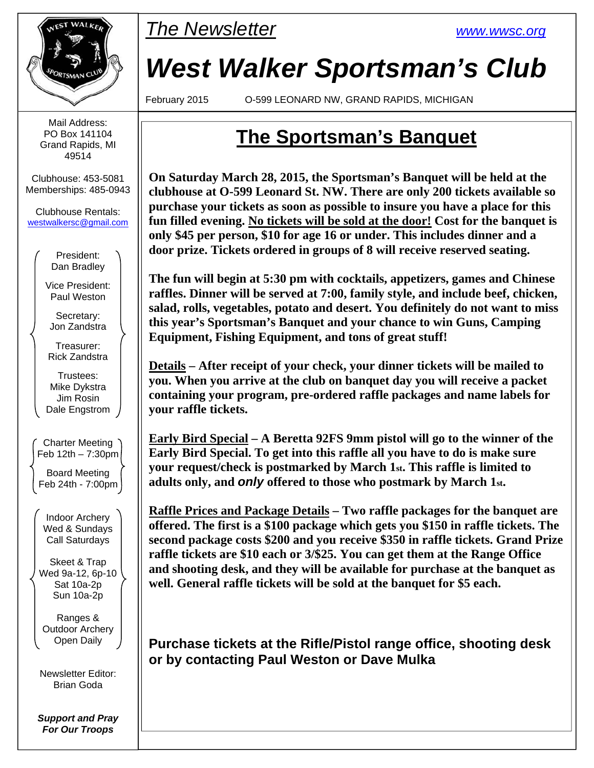

Mail Address: PO Box 141104 Grand Rapids, MI 49514

Clubhouse: 453-5081 Memberships: 485-0943

Clubhouse Rentals: westwalkersc@gmail.com

> President: Dan Bradley

Vice President: Paul Weston

Secretary: Jon Zandstra

Treasurer: Rick Zandstra

Trustees: Mike Dykstra Jim Rosin Dale Engstrom

Charter Meeting Feb 12th – 7:30pm

Board Meeting Feb 24th - 7:00pm

Indoor Archery Wed & Sundays Call Saturdays

Skeet & Trap Wed 9a-12, 6p-10 Sat 10a-2p Sun 10a-2p

Ranges & Outdoor Archery Open Daily

Newsletter Editor: Brian Goda

*Support and Pray For Our Troops* 



# *West Walker Sportsman's Club*

February 2015 O-599 LEONARD NW, GRAND RAPIDS, MICHIGAN

## **The Sportsman's Banquet**

**On Saturday March 28, 2015, the Sportsman's Banquet will be held at the clubhouse at O-599 Leonard St. NW. There are only 200 tickets available so purchase your tickets as soon as possible to insure you have a place for this fun filled evening. No tickets will be sold at the door! Cost for the banquet is only \$45 per person, \$10 for age 16 or under. This includes dinner and a door prize. Tickets ordered in groups of 8 will receive reserved seating.** 

**The fun will begin at 5:30 pm with cocktails, appetizers, games and Chinese raffles. Dinner will be served at 7:00, family style, and include beef, chicken, salad, rolls, vegetables, potato and desert. You definitely do not want to miss this year's Sportsman's Banquet and your chance to win Guns, Camping Equipment, Fishing Equipment, and tons of great stuff!** 

**Details – After receipt of your check, your dinner tickets will be mailed to you. When you arrive at the club on banquet day you will receive a packet containing your program, pre-ordered raffle packages and name labels for your raffle tickets.** 

**Early Bird Special – A Beretta 92FS 9mm pistol will go to the winner of the Early Bird Special. To get into this raffle all you have to do is make sure your request/check is postmarked by March 1st. This raffle is limited to adults only, and** *only* **offered to those who postmark by March 1st.** 

**Raffle Prices and Package Details – Two raffle packages for the banquet are offered. The first is a \$100 package which gets you \$150 in raffle tickets. The second package costs \$200 and you receive \$350 in raffle tickets. Grand Prize raffle tickets are \$10 each or 3/\$25. You can get them at the Range Office and shooting desk, and they will be available for purchase at the banquet as well. General raffle tickets will be sold at the banquet for \$5 each.** 

**Purchase tickets at the Rifle/Pistol range office, shooting desk or by contacting Paul Weston or Dave Mulka**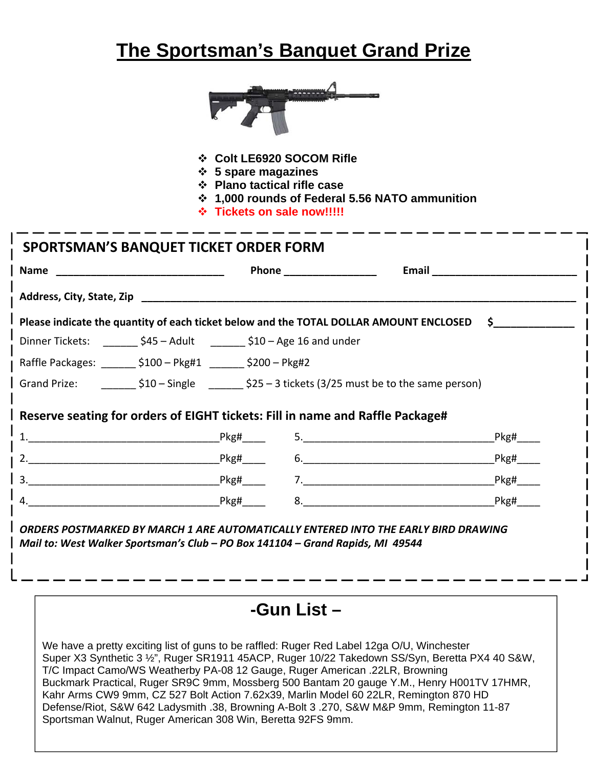## **The Sportsman's Banquet Grand Prize**



- **Colt LE6920 SOCOM Rifle**
- **5 spare magazines**
- **Plano tactical rifle case**
- **1,000 rounds of Federal 5.56 NATO ammunition**
- **Tickets on sale now!!!!!**

| <b>Name</b>                                                              |                                                                               | Phone ___________________                                                                       | <b>Email</b>                                                                              |  |  |  |
|--------------------------------------------------------------------------|-------------------------------------------------------------------------------|-------------------------------------------------------------------------------------------------|-------------------------------------------------------------------------------------------|--|--|--|
|                                                                          | Address, City, State, Zip                                                     |                                                                                                 |                                                                                           |  |  |  |
|                                                                          |                                                                               |                                                                                                 | Please indicate the quantity of each ticket below and the TOTAL DOLLAR AMOUNT ENCLOSED \$ |  |  |  |
| Dinner Tickets: _________ \$45 - Adult _________ \$10 - Age 16 and under |                                                                               |                                                                                                 |                                                                                           |  |  |  |
|                                                                          | Raffle Packages: _________ \$100 - Pkg#1 ________ \$200 - Pkg#2               |                                                                                                 |                                                                                           |  |  |  |
|                                                                          |                                                                               | Grand Prize: $\angle$ \$10 - Single $\angle$ \$25 - 3 tickets (3/25 must be to the same person) |                                                                                           |  |  |  |
|                                                                          | Reserve seating for orders of EIGHT tickets: Fill in name and Raffle Package# |                                                                                                 | Pkg#                                                                                      |  |  |  |
|                                                                          | $2.$ Pkg#                                                                     |                                                                                                 | Pkg#<br>6.                                                                                |  |  |  |
|                                                                          |                                                                               |                                                                                                 | $9.8$ Pkg# 7.<br>Pkg# ___                                                                 |  |  |  |
|                                                                          |                                                                               |                                                                                                 |                                                                                           |  |  |  |

We have a pretty exciting list of guns to be raffled: Ruger Red Label 12ga O/U, Winchester Super X3 Synthetic 3 ½", Ruger SR1911 45ACP, Ruger 10/22 Takedown SS/Syn, Beretta PX4 40 S&W, T/C Impact Camo/WS Weatherby PA-08 12 Gauge, Ruger American .22LR, Browning Buckmark Practical, Ruger SR9C 9mm, Mossberg 500 Bantam 20 gauge Y.M., Henry H001TV 17HMR, Kahr Arms CW9 9mm, CZ 527 Bolt Action 7.62x39, Marlin Model 60 22LR, Remington 870 HD Defense/Riot, S&W 642 Ladysmith .38, Browning A-Bolt 3 .270, S&W M&P 9mm, Remington 11-87 Sportsman Walnut, Ruger American 308 Win, Beretta 92FS 9mm.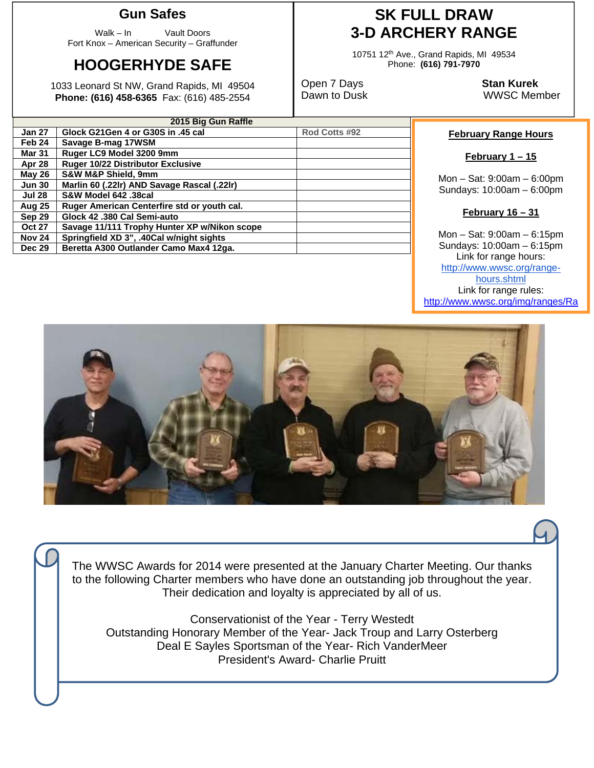### **Gun Safes**

Walk – In Vault Doors Fort Knox – American Security – Graffunder

## **HOOGERHYDE SAFE**

1033 Leonard St NW, Grand Rapids, MI 49504 **Phone: (616) 458-6365** Fax: (616) 485-2554

### **SK FULL DRAW 3-D ARCHERY RANGE**

10751 12th Ave., Grand Rapids, MI 49534 Phone: **(616) 791-7970** 

Open 7 Days **Stan Kurek**

Dawn to Dusk WWSC Member

| 2015 Big Gun Raffle |                                              |               |  |  |  |
|---------------------|----------------------------------------------|---------------|--|--|--|
| <b>Jan 27</b>       | Glock G21Gen 4 or G30S in .45 cal            | Rod Cotts #92 |  |  |  |
| Feb 24              | Savage B-mag 17WSM                           |               |  |  |  |
| <b>Mar 31</b>       | Ruger LC9 Model 3200 9mm                     |               |  |  |  |
| Apr 28              | <b>Ruger 10/22 Distributor Exclusive</b>     |               |  |  |  |
| May 26              | <b>S&amp;W M&amp;P Shield, 9mm</b>           |               |  |  |  |
| <b>Jun 30</b>       | Marlin 60 (.22lr) AND Savage Rascal (.22lr)  |               |  |  |  |
| <b>Jul 28</b>       | S&W Model 642 .38cal                         |               |  |  |  |
| Aug 25              | Ruger American Centerfire std or youth cal.  |               |  |  |  |
| <b>Sep 29</b>       | Glock 42,380 Cal Semi-auto                   |               |  |  |  |
| <b>Oct 27</b>       | Savage 11/111 Trophy Hunter XP w/Nikon scope |               |  |  |  |
| <b>Nov 24</b>       | Springfield XD 3", .40Cal w/night sights     |               |  |  |  |
| <b>Dec 29</b>       | Beretta A300 Outlander Camo Max4 12ga.       |               |  |  |  |
|                     |                                              |               |  |  |  |

#### **February Range Hours**

**February 1 – 15** 

Mon – Sat: 9:00am – 6:00pm Sundays: 10:00am – 6:00pm

#### **February 16 – 31**

Mon – Sat: 9:00am – 6:15pm Sundays: 10:00am – 6:15pm Link for range hours: http://www.wwsc.org/rangehours.shtml Link for range rules: http://www.wwsc.org/img/ranges/Ra





Conservationist of the Year - Terry Westedt Outstanding Honorary Member of the Year- Jack Troup and Larry Osterberg Deal E Sayles Sportsman of the Year- Rich VanderMeer President's Award- Charlie Pruitt